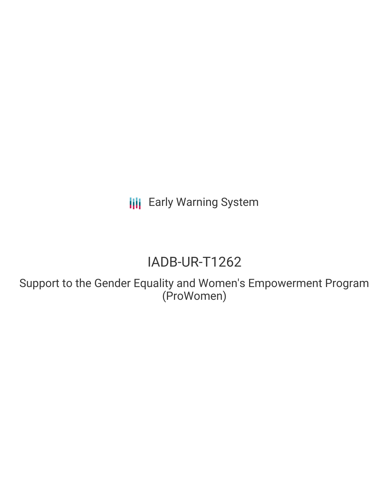**III** Early Warning System

# IADB-UR-T1262

Support to the Gender Equality and Women's Empowerment Program (ProWomen)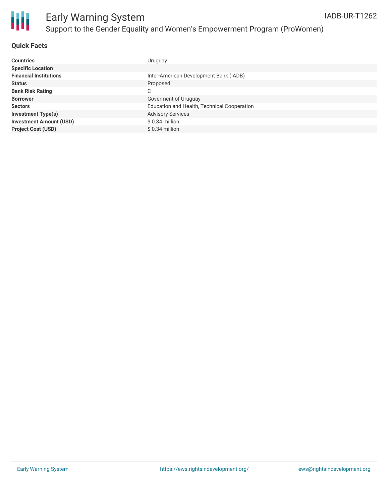

### **Quick Facts**

| <b>Countries</b>               | Uruguay                                     |
|--------------------------------|---------------------------------------------|
| <b>Specific Location</b>       |                                             |
| <b>Financial Institutions</b>  | Inter-American Development Bank (IADB)      |
| <b>Status</b>                  | Proposed                                    |
| <b>Bank Risk Rating</b>        | С                                           |
| <b>Borrower</b>                | Goverment of Uruguay                        |
| <b>Sectors</b>                 | Education and Health, Technical Cooperation |
| <b>Investment Type(s)</b>      | <b>Advisory Services</b>                    |
| <b>Investment Amount (USD)</b> | $$0.34$ million                             |
| <b>Project Cost (USD)</b>      | $$0.34$ million                             |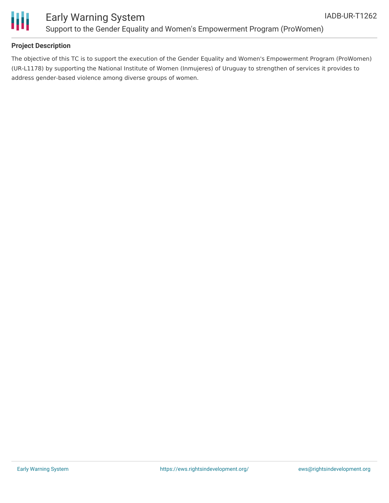

### **Project Description**

The objective of this TC is to support the execution of the Gender Equality and Women's Empowerment Program (ProWomen) (UR-L1178) by supporting the National Institute of Women (Inmujeres) of Uruguay to strengthen of services it provides to address gender-based violence among diverse groups of women.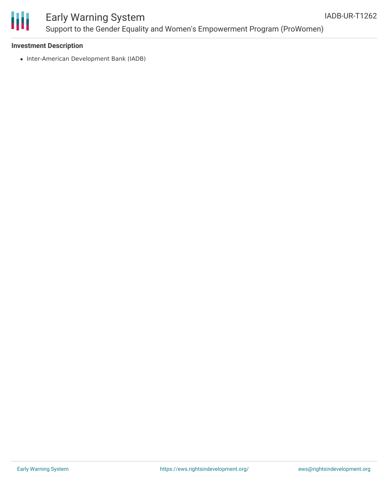

## Early Warning System Support to the Gender Equality and Women's Empowerment Program (ProWomen)

#### **Investment Description**

• Inter-American Development Bank (IADB)